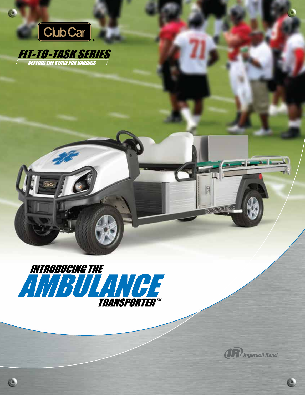

Ċ

C

**FIT-TO-TASK SERIES** 





Q

H

**TRANSPORTER**